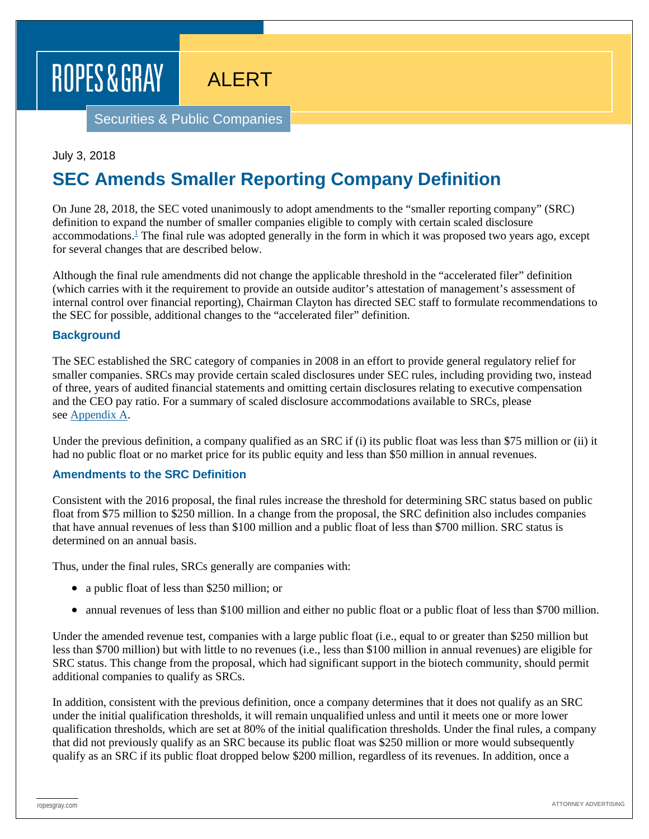# ROPES & GRAY

ALERT

Securities & Public Companies

#### July 3, 2018

# **SEC Amends Smaller Reporting Company Definition**

On June 28, 2018, the SEC voted unanimously to adopt amendments to the "smaller reporting company" (SRC) definition to expand the number of smaller companies eligible to comply with certain scaled disclosure accommodations. $\frac{1}{n}$  The final rule was adopted generally in the form in which it was proposed two years ago, except for several changes that are described below.

Although the final rule amendments did not change the applicable threshold in the "accelerated filer" definition (which carries with it the requirement to provide an outside auditor's attestation of management's assessment of internal control over financial reporting), Chairman Clayton has directed SEC staff to formulate recommendations to the SEC for possible, additional changes to the "accelerated filer" definition.

#### **Background**

The SEC established the SRC category of companies in 2008 in an effort to provide general regulatory relief for smaller companies. SRCs may provide certain scaled disclosures under SEC rules, including providing two, instead of three, years of audited financial statements and omitting certain disclosures relating to executive compensation and the CEO pay ratio. For a summary of scaled disclosure accommodations available to SRCs, please see [Appendix](https://www.ropesgray.com/-/media/Files/alerts/2018/07/20180702_SPC_Alert_Appendix.pdf?la=en&hash=765D522A019D19CB8ECE199FF02B4AD7A616FC08) A.

Under the previous definition, a company qualified as an SRC if (i) its public float was less than \$75 million or (ii) it had no public float or no market price for its public equity and less than \$50 million in annual revenues.

#### **Amendments to the SRC Definition**

Consistent with the 2016 proposal, the final rules increase the threshold for determining SRC status based on public float from \$75 million to \$250 million. In a change from the proposal, the SRC definition also includes companies that have annual revenues of less than \$100 million and a public float of less than \$700 million. SRC status is determined on an annual basis.

Thus, under the final rules, SRCs generally are companies with:

- a public float of less than \$250 million; or
- annual revenues of less than \$100 million and either no public float or a public float of less than \$700 million.

Under the amended revenue test, companies with a large public float (i.e., equal to or greater than \$250 million but less than \$700 million) but with little to no revenues (i.e., less than \$100 million in annual revenues) are eligible for SRC status. This change from the proposal, which had significant support in the biotech community, should permit additional companies to qualify as SRCs.

In addition, consistent with the previous definition, once a company determines that it does not qualify as an SRC under the initial qualification thresholds, it will remain unqualified unless and until it meets one or more lower qualification thresholds, which are set at 80% of the initial qualification thresholds. Under the final rules, a company that did not previously qualify as an SRC because its public float was \$250 million or more would subsequently qualify as an SRC if its public float dropped below \$200 million, regardless of its revenues. In addition, once a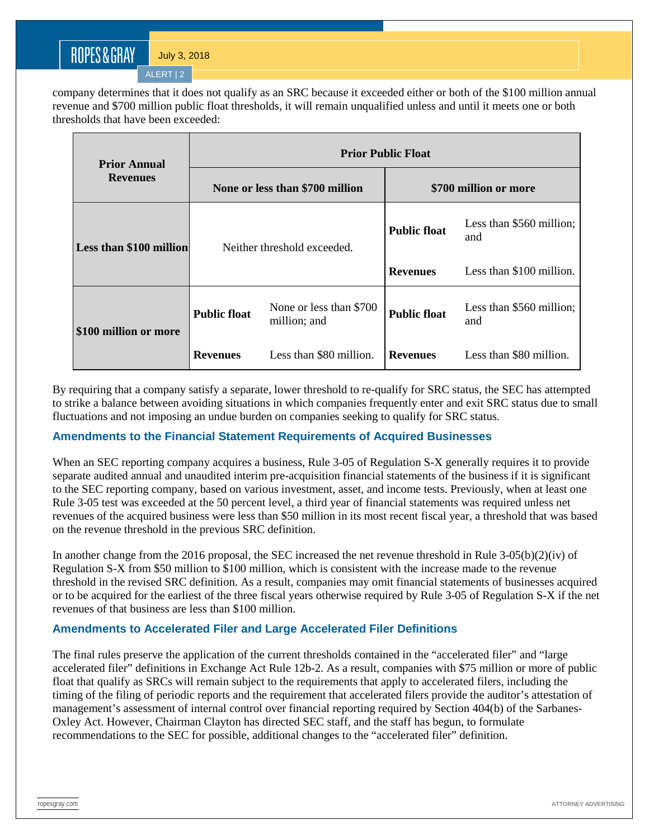ALERT | 2

company determines that it does not qualify as an SRC because it exceeded either or both of the \$100 million annual revenue and \$700 million public float thresholds, it will remain unqualified unless and until it meets one or both thresholds that have been exceeded:

| <b>Prior Annual</b><br><b>Revenues</b> | <b>Prior Public Float</b>       |                                         |                       |                                 |
|----------------------------------------|---------------------------------|-----------------------------------------|-----------------------|---------------------------------|
|                                        | None or less than \$700 million |                                         | \$700 million or more |                                 |
| Less than \$100 million                | Neither threshold exceeded.     |                                         | <b>Public float</b>   | Less than \$560 million;<br>and |
|                                        |                                 |                                         | <b>Revenues</b>       | Less than \$100 million.        |
| \$100 million or more                  | <b>Public float</b>             | None or less than \$700<br>million; and | <b>Public float</b>   | Less than \$560 million;<br>and |
|                                        | <b>Revenues</b>                 | Less than \$80 million.                 | <b>Revenues</b>       | Less than \$80 million.         |

By requiring that a company satisfy a separate, lower threshold to re-qualify for SRC status, the SEC has attempted to strike a balance between avoiding situations in which companies frequently enter and exit SRC status due to small fluctuations and not imposing an undue burden on companies seeking to qualify for SRC status.

#### **Amendments to the Financial Statement Requirements of Acquired Businesses**

When an SEC reporting company acquires a business, Rule 3-05 of Regulation S-X generally requires it to provide separate audited annual and unaudited interim pre-acquisition financial statements of the business if it is significant to the SEC reporting company, based on various investment, asset, and income tests. Previously, when at least one Rule 3-05 test was exceeded at the 50 percent level, a third year of financial statements was required unless net revenues of the acquired business were less than \$50 million in its most recent fiscal year, a threshold that was based on the revenue threshold in the previous SRC definition.

In another change from the 2016 proposal, the SEC increased the net revenue threshold in Rule 3-05(b)(2)(iv) of Regulation S-X from \$50 million to \$100 million, which is consistent with the increase made to the revenue threshold in the revised SRC definition. As a result, companies may omit financial statements of businesses acquired or to be acquired for the earliest of the three fiscal years otherwise required by Rule 3-05 of Regulation S-X if the net revenues of that business are less than \$100 million.

#### **Amendments to Accelerated Filer and Large Accelerated Filer Definitions**

The final rules preserve the application of the current thresholds contained in the "accelerated filer" and "large accelerated filer" definitions in Exchange Act Rule 12b-2. As a result, companies with \$75 million or more of public float that qualify as SRCs will remain subject to the requirements that apply to accelerated filers, including the timing of the filing of periodic reports and the requirement that accelerated filers provide the auditor's attestation of management's assessment of internal control over financial reporting required by Section 404(b) of the Sarbanes-Oxley Act. However, Chairman Clayton has directed SEC staff, and the staff has begun, to formulate recommendations to the SEC for possible, additional changes to the "accelerated filer" definition.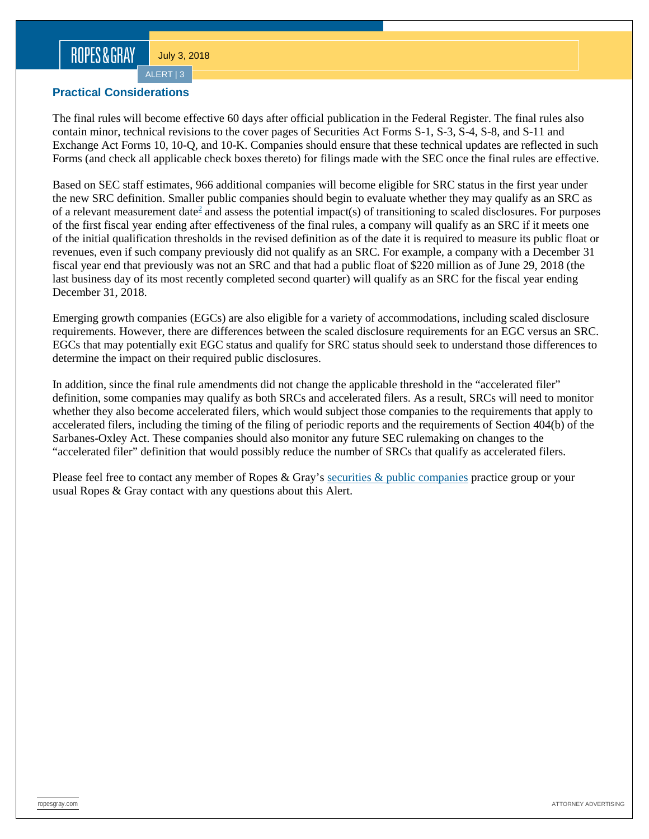## ROPES&GRAY

July 3, 2018

ALERT | 3

#### **Practical Considerations**

The final rules will become effective 60 days after official publication in the Federal Register. The final rules also contain minor, technical revisions to the cover pages of Securities Act Forms S-1, S-3, S-4, S-8, and S-11 and Exchange Act Forms 10, 10-Q, and 10-K. Companies should ensure that these technical updates are reflected in such Forms (and check all applicable check boxes thereto) for filings made with the SEC once the final rules are effective.

Based on SEC staff estimates, 966 additional companies will become eligible for SRC status in the first year under the new SRC definition. Smaller public companies should begin to evaluate whether they may qualify as an SRC as of a relevant measurement date<sup>2</sup> and assess the potential impact(s) of transitioning to scaled disclosures. For purposes of the first fiscal year ending after effectiveness of the final rules, a company will qualify as an SRC if it meets one of the initial qualification thresholds in the revised definition as of the date it is required to measure its public float or revenues, even if such company previously did not qualify as an SRC. For example, a company with a December 31 fiscal year end that previously was not an SRC and that had a public float of \$220 million as of June 29, 2018 (the last business day of its most recently completed second quarter) will qualify as an SRC for the fiscal year ending December 31, 2018.

Emerging growth companies (EGCs) are also eligible for a variety of accommodations, including scaled disclosure requirements. However, there are differences between the scaled disclosure requirements for an EGC versus an SRC. EGCs that may potentially exit EGC status and qualify for SRC status should seek to understand those differences to determine the impact on their required public disclosures.

In addition, since the final rule amendments did not change the applicable threshold in the "accelerated filer" definition, some companies may qualify as both SRCs and accelerated filers. As a result, SRCs will need to monitor whether they also become accelerated filers, which would subject those companies to the requirements that apply to accelerated filers, including the timing of the filing of periodic reports and the requirements of Section 404(b) of the Sarbanes-Oxley Act. These companies should also monitor any future SEC rulemaking on changes to the "accelerated filer" definition that would possibly reduce the number of SRCs that qualify as accelerated filers.

Please feel free to contact any member of Ropes & Gray's [securities & public companies](https://www.ropesgray.com/en/practices/Securities-and-Public-Companies) practice group or your usual Ropes & Gray contact with any questions about this Alert.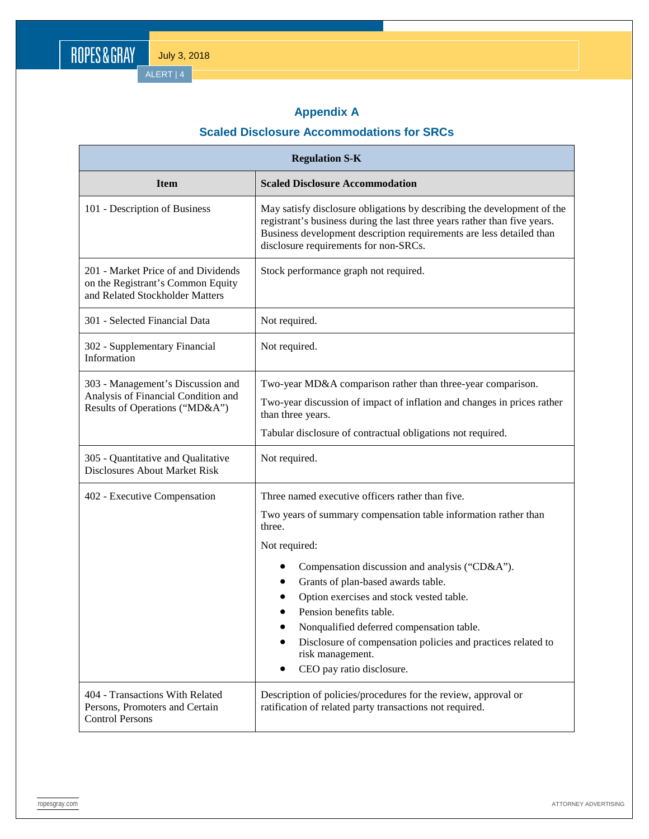ALERT | 4

## **Appendix A**

## **Scaled Disclosure Accommodations for SRCs**

| <b>Regulation S-K</b>                                                                                       |                                                                                                                                                                                                                                                                                                                                                                                                                                                                             |  |  |
|-------------------------------------------------------------------------------------------------------------|-----------------------------------------------------------------------------------------------------------------------------------------------------------------------------------------------------------------------------------------------------------------------------------------------------------------------------------------------------------------------------------------------------------------------------------------------------------------------------|--|--|
| <b>Item</b>                                                                                                 | <b>Scaled Disclosure Accommodation</b>                                                                                                                                                                                                                                                                                                                                                                                                                                      |  |  |
| 101 - Description of Business                                                                               | May satisfy disclosure obligations by describing the development of the<br>registrant's business during the last three years rather than five years.<br>Business development description requirements are less detailed than<br>disclosure requirements for non-SRCs.                                                                                                                                                                                                       |  |  |
| 201 - Market Price of and Dividends<br>on the Registrant's Common Equity<br>and Related Stockholder Matters | Stock performance graph not required.                                                                                                                                                                                                                                                                                                                                                                                                                                       |  |  |
| 301 - Selected Financial Data                                                                               | Not required.                                                                                                                                                                                                                                                                                                                                                                                                                                                               |  |  |
| 302 - Supplementary Financial<br>Information                                                                | Not required.                                                                                                                                                                                                                                                                                                                                                                                                                                                               |  |  |
| 303 - Management's Discussion and<br>Analysis of Financial Condition and<br>Results of Operations ("MD&A")  | Two-year MD&A comparison rather than three-year comparison.<br>Two-year discussion of impact of inflation and changes in prices rather<br>than three years.<br>Tabular disclosure of contractual obligations not required.                                                                                                                                                                                                                                                  |  |  |
| 305 - Quantitative and Qualitative<br><b>Disclosures About Market Risk</b>                                  | Not required.                                                                                                                                                                                                                                                                                                                                                                                                                                                               |  |  |
| 402 - Executive Compensation                                                                                | Three named executive officers rather than five.<br>Two years of summary compensation table information rather than<br>three.<br>Not required:<br>Compensation discussion and analysis ("CD&A").<br>Grants of plan-based awards table.<br>Option exercises and stock vested table.<br>Pension benefits table.<br>Nonqualified deferred compensation table.<br>Disclosure of compensation policies and practices related to<br>risk management.<br>CEO pay ratio disclosure. |  |  |
| 404 - Transactions With Related<br>Persons, Promoters and Certain<br><b>Control Persons</b>                 | Description of policies/procedures for the review, approval or<br>ratification of related party transactions not required.                                                                                                                                                                                                                                                                                                                                                  |  |  |